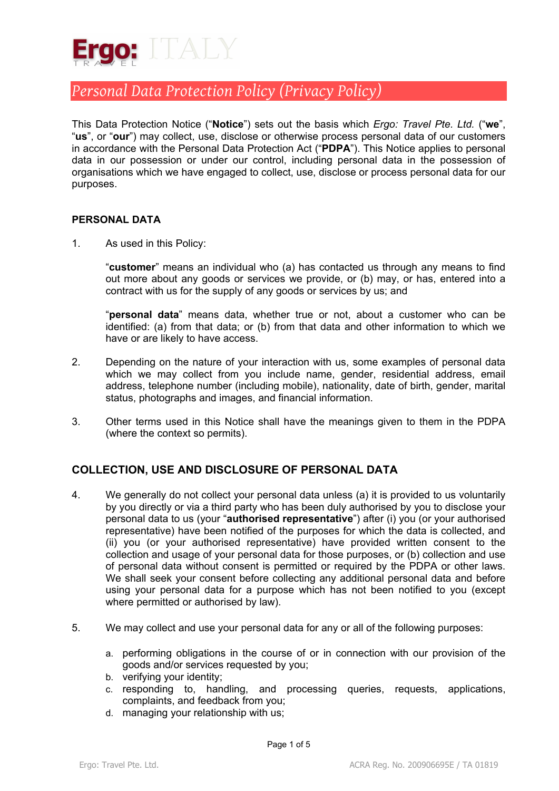

This Data Protection Notice ("**Notice**") sets out the basis which *Ergo: Travel Pte. Ltd.* ("**we**", "**us**", or "**our**") may collect, use, disclose or otherwise process personal data of our customers in accordance with the Personal Data Protection Act ("**PDPA**"). This Notice applies to personal data in our possession or under our control, including personal data in the possession of organisations which we have engaged to collect, use, disclose or process personal data for our purposes.

#### **PERSONAL DATA**

1. As used in this Policy:

"**customer**" means an individual who (a) has contacted us through any means to find out more about any goods or services we provide, or (b) may, or has, entered into a contract with us for the supply of any goods or services by us; and

"**personal data**" means data, whether true or not, about a customer who can be identified: (a) from that data; or (b) from that data and other information to which we have or are likely to have access.

- 2. Depending on the nature of your interaction with us, some examples of personal data which we may collect from you include name, gender, residential address, email address, telephone number (including mobile), nationality, date of birth, gender, marital status, photographs and images, and financial information.
- 3. Other terms used in this Notice shall have the meanings given to them in the PDPA (where the context so permits).

### **COLLECTION, USE AND DISCLOSURE OF PERSONAL DATA**

- 4. We generally do not collect your personal data unless (a) it is provided to us voluntarily by you directly or via a third party who has been duly authorised by you to disclose your personal data to us (your "**authorised representative**") after (i) you (or your authorised representative) have been notified of the purposes for which the data is collected, and (ii) you (or your authorised representative) have provided written consent to the collection and usage of your personal data for those purposes, or (b) collection and use of personal data without consent is permitted or required by the PDPA or other laws. We shall seek your consent before collecting any additional personal data and before using your personal data for a purpose which has not been notified to you (except where permitted or authorised by law).
- 5. We may collect and use your personal data for any or all of the following purposes:
	- a. performing obligations in the course of or in connection with our provision of the goods and/or services requested by you;
	- b. verifying your identity;
	- c. responding to, handling, and processing queries, requests, applications, complaints, and feedback from you;
	- d. managing your relationship with us;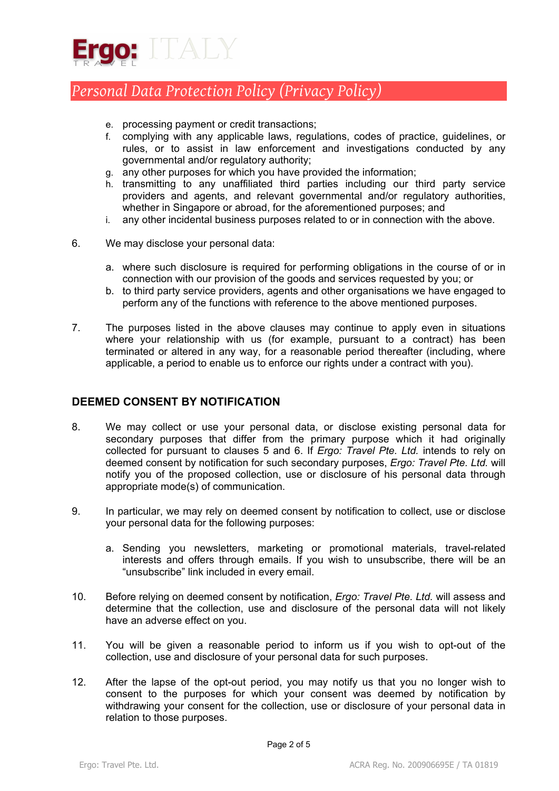

- e. processing payment or credit transactions;
- f. complying with any applicable laws, regulations, codes of practice, guidelines, or rules, or to assist in law enforcement and investigations conducted by any governmental and/or regulatory authority;
- g. any other purposes for which you have provided the information;
- h. transmitting to any unaffiliated third parties including our third party service providers and agents, and relevant governmental and/or regulatory authorities, whether in Singapore or abroad, for the aforementioned purposes; and
- i. any other incidental business purposes related to or in connection with the above.
- 6. We may disclose your personal data:
	- a. where such disclosure is required for performing obligations in the course of or in connection with our provision of the goods and services requested by you; or
	- b. to third party service providers, agents and other organisations we have engaged to perform any of the functions with reference to the above mentioned purposes.
- 7. The purposes listed in the above clauses may continue to apply even in situations where your relationship with us (for example, pursuant to a contract) has been terminated or altered in any way, for a reasonable period thereafter (including, where applicable, a period to enable us to enforce our rights under a contract with you).

#### **DEEMED CONSENT BY NOTIFICATION**

- 8. We may collect or use your personal data, or disclose existing personal data for secondary purposes that differ from the primary purpose which it had originally collected for pursuant to clauses 5 and 6. If *Ergo: Travel Pte. Ltd.* intends to rely on deemed consent by notification for such secondary purposes, *Ergo: Travel Pte. Ltd.* will notify you of the proposed collection, use or disclosure of his personal data through appropriate mode(s) of communication.
- 9. In particular, we may rely on deemed consent by notification to collect, use or disclose your personal data for the following purposes:
	- a. Sending you newsletters, marketing or promotional materials, travel-related interests and offers through emails. If you wish to unsubscribe, there will be an "unsubscribe" link included in every email.
- 10. Before relying on deemed consent by notification, *Ergo: Travel Pte. Ltd.* will assess and determine that the collection, use and disclosure of the personal data will not likely have an adverse effect on you.
- 11. You will be given a reasonable period to inform us if you wish to opt-out of the collection, use and disclosure of your personal data for such purposes.
- 12. After the lapse of the opt-out period, you may notify us that you no longer wish to consent to the purposes for which your consent was deemed by notification by withdrawing your consent for the collection, use or disclosure of your personal data in relation to those purposes.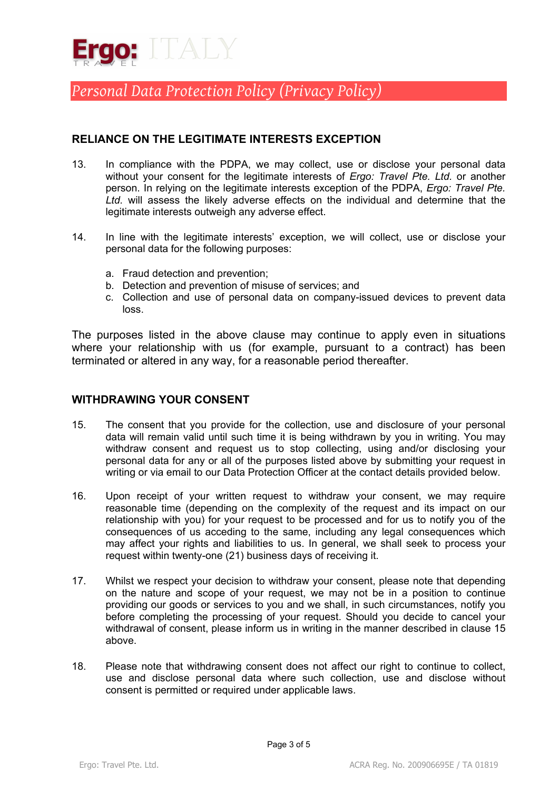

### **RELIANCE ON THE LEGITIMATE INTERESTS EXCEPTION**

- 13. In compliance with the PDPA, we may collect, use or disclose your personal data without your consent for the legitimate interests of *Ergo: Travel Pte. Ltd.* or another person. In relying on the legitimate interests exception of the PDPA, *Ergo: Travel Pte. Ltd.* will assess the likely adverse effects on the individual and determine that the legitimate interests outweigh any adverse effect.
- 14. In line with the legitimate interests' exception, we will collect, use or disclose your personal data for the following purposes:
	- a. Fraud detection and prevention;
	- b. Detection and prevention of misuse of services; and
	- c. Collection and use of personal data on company-issued devices to prevent data loss.

The purposes listed in the above clause may continue to apply even in situations where your relationship with us (for example, pursuant to a contract) has been terminated or altered in any way, for a reasonable period thereafter.

### **WITHDRAWING YOUR CONSENT**

- 15. The consent that you provide for the collection, use and disclosure of your personal data will remain valid until such time it is being withdrawn by you in writing. You may withdraw consent and request us to stop collecting, using and/or disclosing your personal data for any or all of the purposes listed above by submitting your request in writing or via email to our Data Protection Officer at the contact details provided below.
- 16. Upon receipt of your written request to withdraw your consent, we may require reasonable time (depending on the complexity of the request and its impact on our relationship with you) for your request to be processed and for us to notify you of the consequences of us acceding to the same, including any legal consequences which may affect your rights and liabilities to us. In general, we shall seek to process your request within twenty-one (21) business days of receiving it.
- 17. Whilst we respect your decision to withdraw your consent, please note that depending on the nature and scope of your request, we may not be in a position to continue providing our goods or services to you and we shall, in such circumstances, notify you before completing the processing of your request. Should you decide to cancel your withdrawal of consent, please inform us in writing in the manner described in clause 15 above.
- 18. Please note that withdrawing consent does not affect our right to continue to collect, use and disclose personal data where such collection, use and disclose without consent is permitted or required under applicable laws.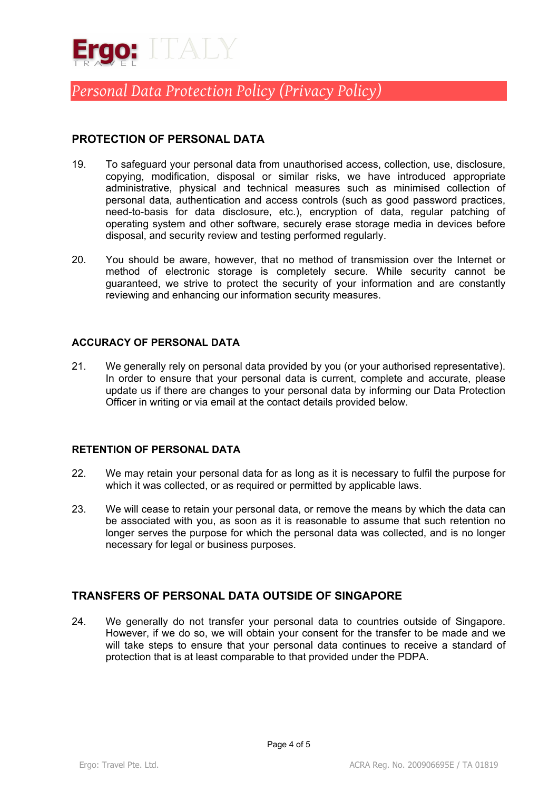

## **PROTECTION OF PERSONAL DATA**

- 19. To safeguard your personal data from unauthorised access, collection, use, disclosure, copying, modification, disposal or similar risks, we have introduced appropriate administrative, physical and technical measures such as minimised collection of personal data, authentication and access controls (such as good password practices, need-to-basis for data disclosure, etc.), encryption of data, regular patching of operating system and other software, securely erase storage media in devices before disposal, and security review and testing performed regularly.
- 20. You should be aware, however, that no method of transmission over the Internet or method of electronic storage is completely secure. While security cannot be guaranteed, we strive to protect the security of your information and are constantly reviewing and enhancing our information security measures.

#### **ACCURACY OF PERSONAL DATA**

21. We generally rely on personal data provided by you (or your authorised representative). In order to ensure that your personal data is current, complete and accurate, please update us if there are changes to your personal data by informing our Data Protection Officer in writing or via email at the contact details provided below.

#### **RETENTION OF PERSONAL DATA**

- 22. We may retain your personal data for as long as it is necessary to fulfil the purpose for which it was collected, or as required or permitted by applicable laws.
- 23. We will cease to retain your personal data, or remove the means by which the data can be associated with you, as soon as it is reasonable to assume that such retention no longer serves the purpose for which the personal data was collected, and is no longer necessary for legal or business purposes.

### **TRANSFERS OF PERSONAL DATA OUTSIDE OF SINGAPORE**

24. We generally do not transfer your personal data to countries outside of Singapore. However, if we do so, we will obtain your consent for the transfer to be made and we will take steps to ensure that your personal data continues to receive a standard of protection that is at least comparable to that provided under the PDPA.